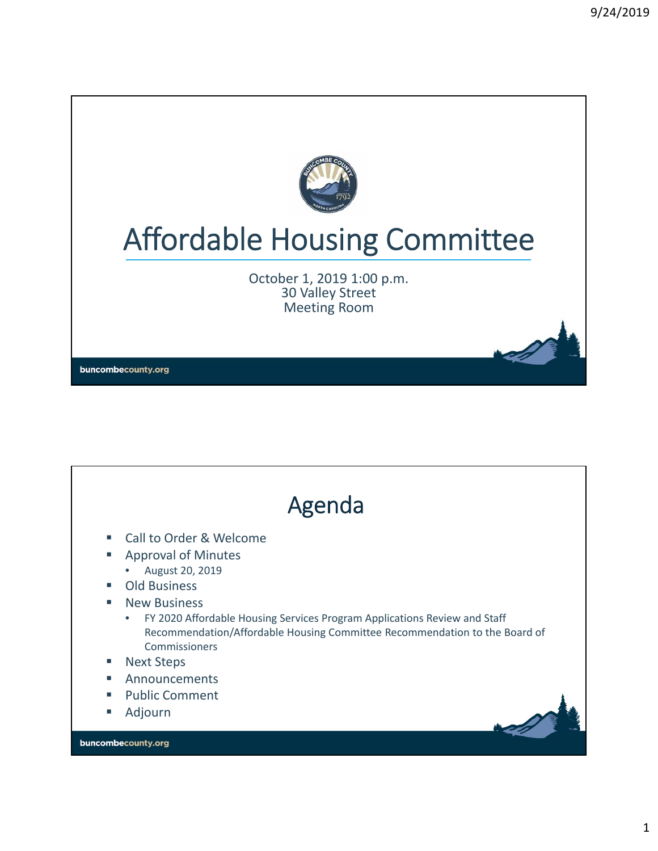

# Affordable Housing Committee

October 1, 2019 1:00 p.m. 30 Valley Street Meeting Room

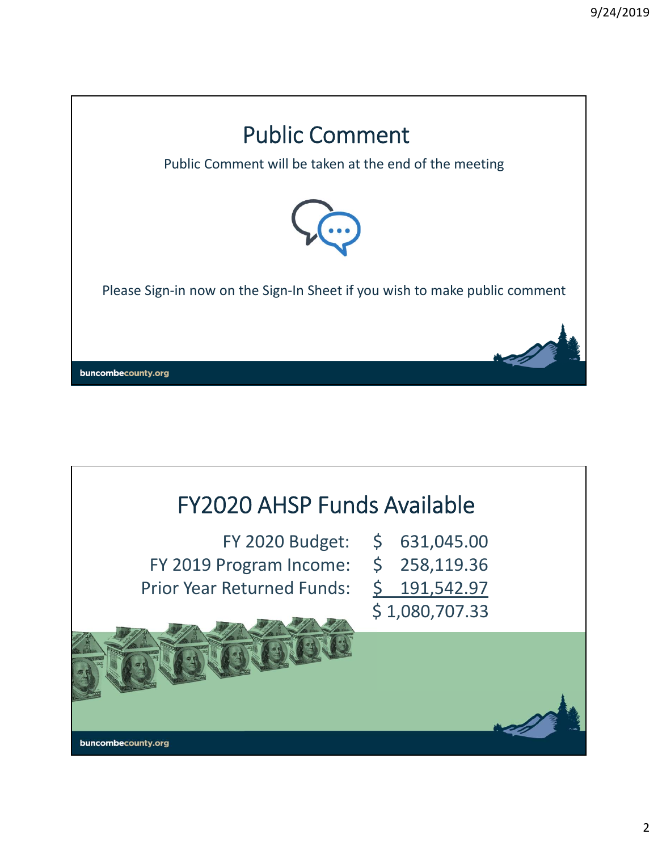

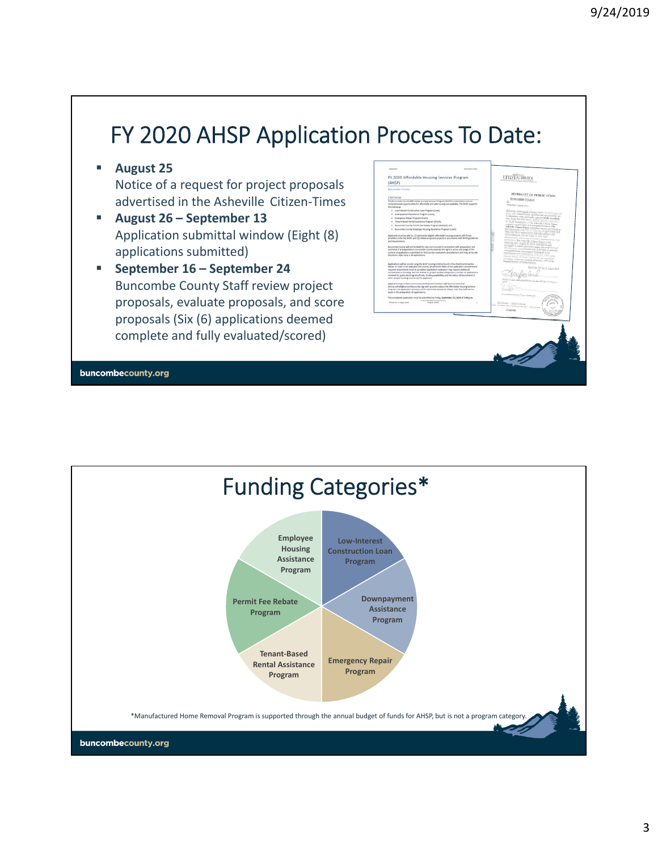# FY 2020 AHSP Application Process To Date:

**August 25**

Notice of a request for project proposals advertised in the Asheville Citizen‐Times

- **August 26 September 13** Application submittal window (Eight (8) applications submitted)
- **September 16 September 24** Buncombe County Staff review project proposals, evaluate proposals, and score proposals (Six (6) applications deemed complete and fully evaluated/scored)

| (AHSP)                                           | FY 2020 Affordable Housing Services Program                                                                                                                                                                                                                                                                                                                                                                                                                                                        | <b>CHICK-TIME</b>                                                                                                                         |  |
|--------------------------------------------------|----------------------------------------------------------------------------------------------------------------------------------------------------------------------------------------------------------------------------------------------------------------------------------------------------------------------------------------------------------------------------------------------------------------------------------------------------------------------------------------------------|-------------------------------------------------------------------------------------------------------------------------------------------|--|
| <b>Bunnerby County</b>                           |                                                                                                                                                                                                                                                                                                                                                                                                                                                                                                    |                                                                                                                                           |  |
|                                                  |                                                                                                                                                                                                                                                                                                                                                                                                                                                                                                    | APPRAISE OF PERSONATION                                                                                                                   |  |
| Overview<br>the following:                       | The Bureamde County Affordable Insuing Services Program (AHSP) is internied to ensure<br>comprehensive coordunaties for affordable and safe housing are available. The field supports                                                                                                                                                                                                                                                                                                              | <b>Business Course</b><br><b>WEIGHT TO SHOW FOR</b>                                                                                       |  |
| . Low-interest Construction Loan Program Scores  |                                                                                                                                                                                                                                                                                                                                                                                                                                                                                                    |                                                                                                                                           |  |
| . Disnipayment Austrance Program Loans,          |                                                                                                                                                                                                                                                                                                                                                                                                                                                                                                    | of and concerning to                                                                                                                      |  |
| . Emergency hopes imagines (Grant).              |                                                                                                                                                                                                                                                                                                                                                                                                                                                                                                    |                                                                                                                                           |  |
| . Telunt Beach fortal Asistance Program (Start). |                                                                                                                                                                                                                                                                                                                                                                                                                                                                                                    | <b>Continued Street</b><br>and the company's control to the first states of                                                               |  |
|                                                  | . Butcombe Ejectio Ferriti Fee Reliabs Program (Reliabs), and                                                                                                                                                                                                                                                                                                                                                                                                                                      | <b>The first and contribute</b>                                                                                                           |  |
|                                                  | . Bureauthe Equatic Engineer Housing Austriance Program Econol.                                                                                                                                                                                                                                                                                                                                                                                                                                    |                                                                                                                                           |  |
|                                                  |                                                                                                                                                                                                                                                                                                                                                                                                                                                                                                    | we want in the first of Automatic Williams County<br>an ann an a-mar an an a-mar an                                                       |  |
| and residents to:                                | Applicants must be able to (2) administer eights affordable housing projects with funds<br>provided under the AHDT, and (2) deliver proposed projects in accordance with AHDF guidelines.                                                                                                                                                                                                                                                                                                          | the chairman and the trains or expected<br>$\sim 1000$ and $\sim 100$<br>the first copies in their motion of                              |  |
| discretion, rajed any or all applications.       | Buttombe County will not be failed by any cost mountain committee with preparation and<br>subvisited of any application. Burearmies County reserves the right to sell as only public of the<br>content of applications submitted for the County's involvation and selection and maje at its sole                                                                                                                                                                                                   | paints and anticipate the Associates<br>and the state<br>and their children control of the space<br>with a side in them a shadow the pro- |  |
| atter project funding sources by the applicant.  | Applications will be content using the Artist Scoring Collecte found in the attentionerity section.<br>bation. In order to be exploded and correct, all performs batch of the application and perforant<br>required attachments must be provided. Application makedon may require additional<br>considerations including, but not binited for, project location/departers, mumber of applications<br>received for particular programs/funds, funding availability, and the status of beturement of | Courses of Stadi Californ<br>the first time of Angeles States                                                                             |  |
| aiunt in the preparation of applications.        | Applicants may contact Community Development Dension staff (Conna Coltreil at<br>downs committee commissions and with accelerate about the information rescure tensions.<br>Prigram, the auditodion process, and for bedraud assistance. Reason wite that staff cannot                                                                                                                                                                                                                             | Prefer to be of an a trace                                                                                                                |  |
|                                                  | The completed application must be submitted by finding September S.C. 2009 at 5.000 p.m.<br>In one offered month between                                                                                                                                                                                                                                                                                                                                                                           |                                                                                                                                           |  |
| Freehlich künnter                                | <b>Baganismo</b>                                                                                                                                                                                                                                                                                                                                                                                                                                                                                   | ٠<br><b>CO LEAGUAR AND LOT</b>                                                                                                            |  |
|                                                  |                                                                                                                                                                                                                                                                                                                                                                                                                                                                                                    | in erecte                                                                                                                                 |  |
|                                                  |                                                                                                                                                                                                                                                                                                                                                                                                                                                                                                    |                                                                                                                                           |  |
|                                                  |                                                                                                                                                                                                                                                                                                                                                                                                                                                                                                    |                                                                                                                                           |  |
|                                                  |                                                                                                                                                                                                                                                                                                                                                                                                                                                                                                    |                                                                                                                                           |  |
|                                                  |                                                                                                                                                                                                                                                                                                                                                                                                                                                                                                    |                                                                                                                                           |  |
|                                                  |                                                                                                                                                                                                                                                                                                                                                                                                                                                                                                    |                                                                                                                                           |  |
|                                                  |                                                                                                                                                                                                                                                                                                                                                                                                                                                                                                    |                                                                                                                                           |  |
|                                                  |                                                                                                                                                                                                                                                                                                                                                                                                                                                                                                    |                                                                                                                                           |  |

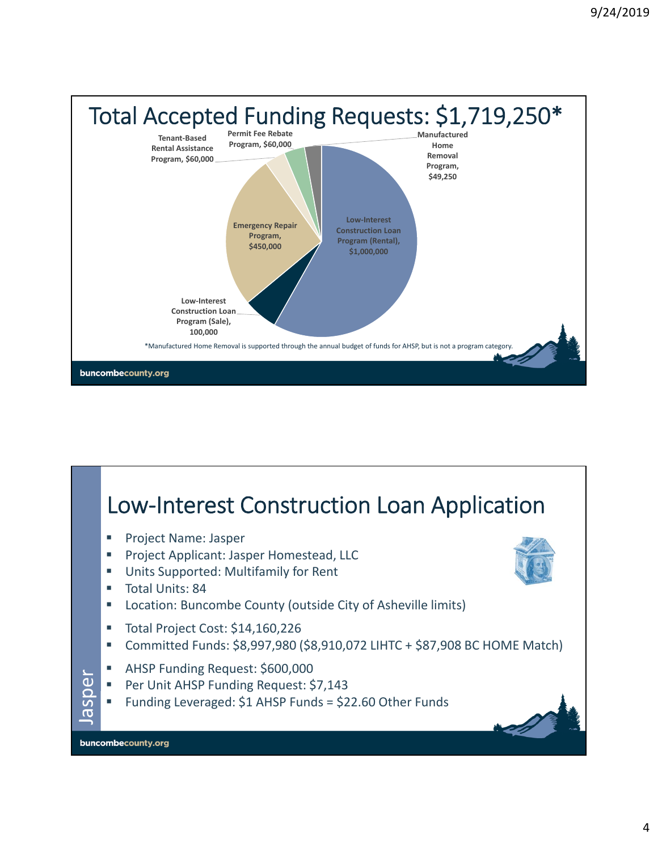

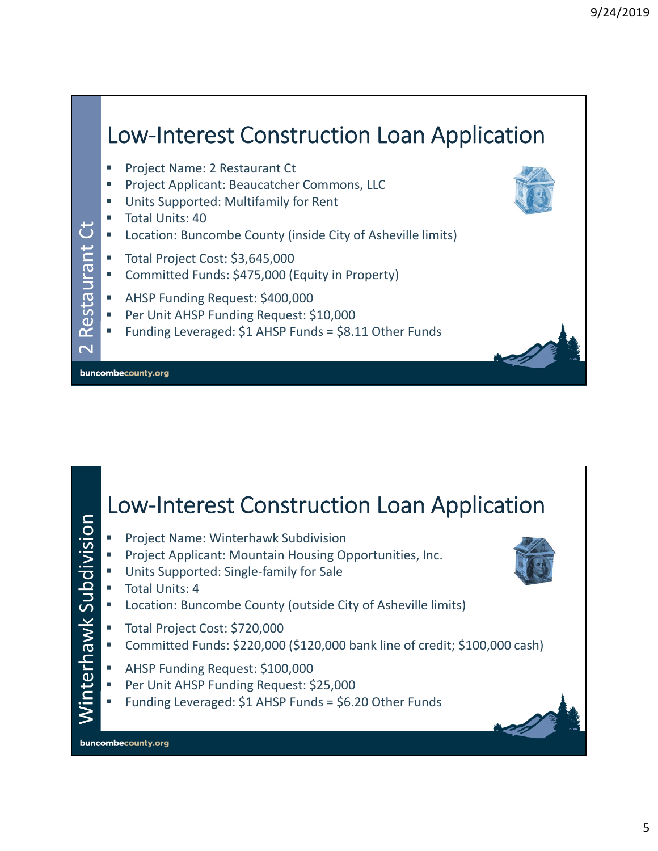#### Low‐Interest Construction Loan Application Project Name: 2 Restaurant Ct Project Applicant: Beaucatcher Commons, LLC Units Supported: Multifamily for Rent Total Units: 40 Restaurant Ct ٹ **E** Location: Buncombe County (inside City of Asheville limits) Restaurant Total Project Cost: \$3,645,000 Committed Funds: \$475,000 (Equity in Property) **AHSP Funding Request: \$400,000 Per Unit AHSP Funding Request: \$10,000**  Funding Leveraged: \$1 AHSP Funds = \$8.11 Other Funds  $\overline{\mathbf{C}}$ buncombecounty.org

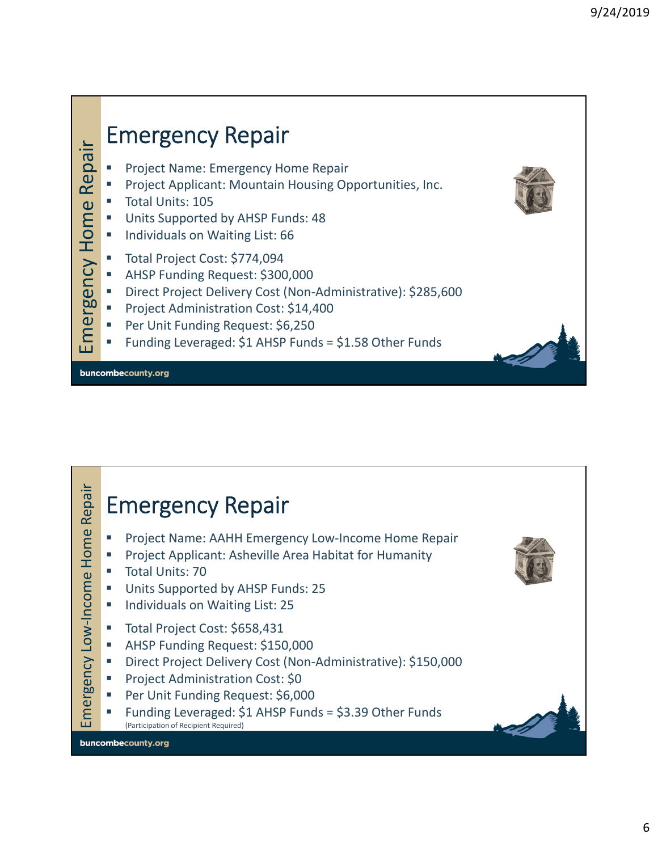

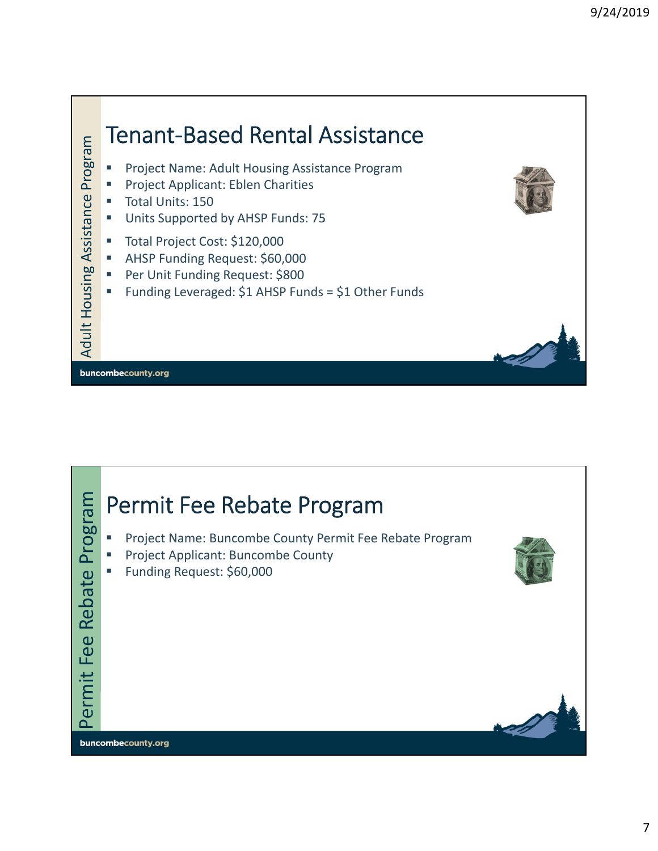

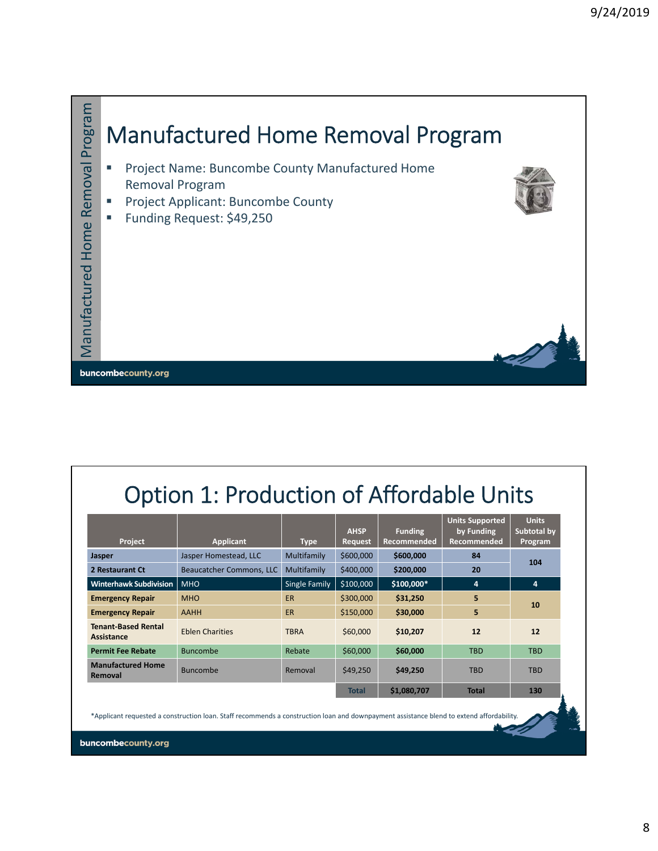

## Option 1: Production of Affordable Units

| Project                                  | <b>Applicant</b>         | <b>Type</b>          | <b>AHSP</b><br><b>Request</b> | <b>Funding</b><br>Recommended | <b>Units Supported</b><br>by Funding<br><b>Recommended</b> | <b>Units</b><br>Subtotal by<br>Program |
|------------------------------------------|--------------------------|----------------------|-------------------------------|-------------------------------|------------------------------------------------------------|----------------------------------------|
| <b>Jasper</b>                            | Jasper Homestead, LLC    | Multifamily          | \$600,000                     | \$600,000                     | 84                                                         |                                        |
| 2 Restaurant Ct                          | Beaucatcher Commons, LLC | Multifamily          | \$400,000                     | \$200,000                     | 20                                                         | 104                                    |
| <b>Winterhawk Subdivision</b>            | <b>MHO</b>               | <b>Single Family</b> | \$100,000                     | \$100,000*                    | 4                                                          | 4                                      |
| <b>Emergency Repair</b>                  | <b>MHO</b>               | <b>ER</b>            | \$300,000                     | \$31,250                      | 5                                                          |                                        |
| <b>Emergency Repair</b>                  | AAHH                     | <b>ER</b>            | \$150,000                     | \$30,000                      | 5                                                          | 10                                     |
| <b>Tenant-Based Rental</b><br>Assistance | <b>Eblen Charities</b>   | <b>TBRA</b>          | \$60,000                      | \$10,207                      | 12                                                         | 12                                     |
| <b>Permit Fee Rebate</b>                 | <b>Buncombe</b>          | Rebate               | \$60,000                      | \$60,000                      | <b>TBD</b>                                                 | <b>TBD</b>                             |
| <b>Manufactured Home</b><br>Removal      | <b>Buncombe</b>          | Removal              | \$49,250                      | \$49,250                      | <b>TBD</b>                                                 | <b>TBD</b>                             |
|                                          |                          |                      | <b>Total</b>                  | \$1,080,707                   | <b>Total</b>                                               | 130                                    |

\*Applicant requested a construction loan. Staff recommends a construction loan and downpayment assistance blend to extend affordability.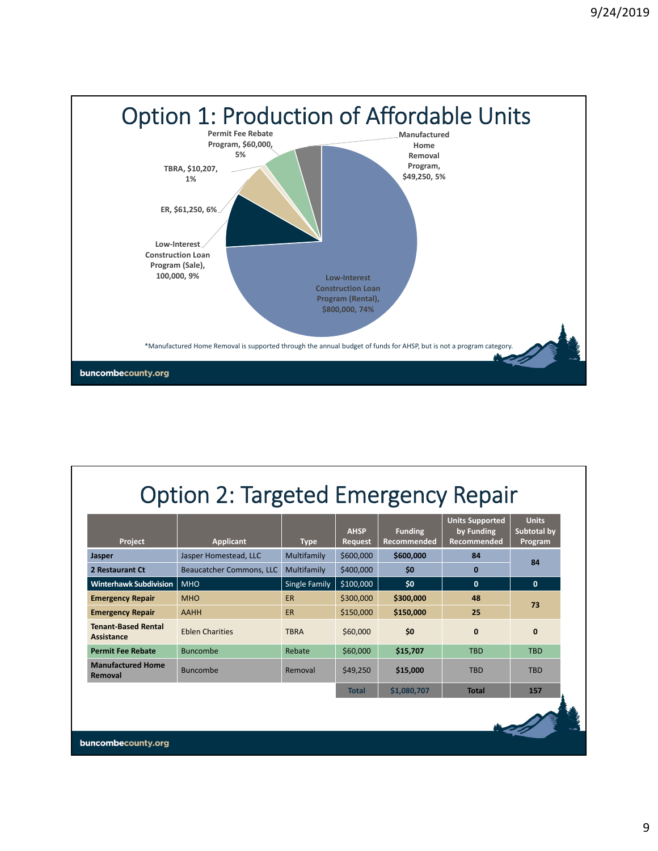

## Option 2: Targeted Emergency Repair

| Project                                         | <b>Applicant</b>         | <b>Type</b>   | <b>AHSP</b><br>Request | <b>Funding</b><br>Recommended | <b>Units Supported</b><br>by Funding<br>Recommended | <b>Units</b><br>Subtotal by<br>Program |
|-------------------------------------------------|--------------------------|---------------|------------------------|-------------------------------|-----------------------------------------------------|----------------------------------------|
| Jasper                                          | Jasper Homestead, LLC    | Multifamily   | \$600,000              | \$600,000                     | 84                                                  |                                        |
| 2 Restaurant Ct                                 | Beaucatcher Commons, LLC | Multifamily   | \$400,000              | \$0                           | $\bf{0}$                                            | 84                                     |
| <b>Winterhawk Subdivision</b>                   | <b>MHO</b>               | Single Family | \$100,000              | \$0                           | $\mathbf{0}$                                        | $\mathbf{0}$                           |
| <b>Emergency Repair</b>                         | <b>MHO</b>               | <b>ER</b>     | \$300,000              | \$300,000                     | 48                                                  |                                        |
| <b>Emergency Repair</b>                         | <b>AAHH</b>              | <b>ER</b>     | \$150,000              | \$150,000                     | 25                                                  | 73                                     |
| <b>Tenant-Based Rental</b><br><b>Assistance</b> | <b>Eblen Charities</b>   | <b>TBRA</b>   | \$60,000               | \$0                           | $\mathbf 0$                                         | $\mathbf{0}$                           |
| <b>Permit Fee Rebate</b>                        | <b>Buncombe</b>          | Rebate        | \$60,000               | \$15,707                      | <b>TBD</b>                                          | <b>TBD</b>                             |
| <b>Manufactured Home</b><br>Removal             | Buncombe                 | Removal       | \$49,250               | \$15,000                      | <b>TBD</b>                                          | <b>TBD</b>                             |
|                                                 |                          |               | <b>Total</b>           | \$1,080,707                   | <b>Total</b>                                        | 157                                    |
|                                                 |                          |               |                        |                               |                                                     |                                        |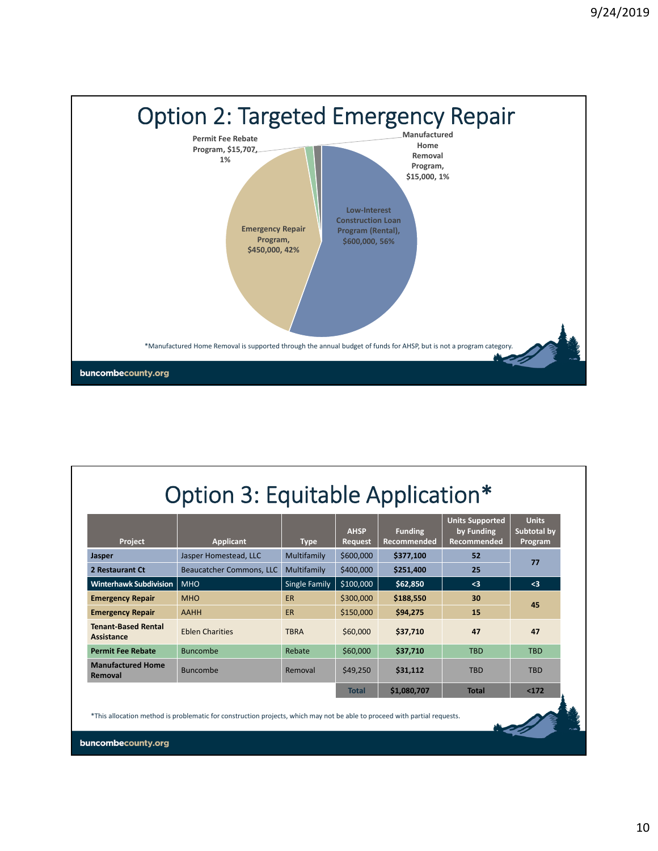

|  |  | Option 3: Equitable Application* |  |  |
|--|--|----------------------------------|--|--|
|--|--|----------------------------------|--|--|

| <b>Project</b>                           | <b>Applicant</b>         | <b>Type</b>   | <b>AHSP</b><br><b>Request</b> | <b>Funding</b><br>Recommended | <b>Units Supported</b><br>by Funding<br><b>Recommended</b> | <b>Units</b><br>Subtotal by<br>Program |
|------------------------------------------|--------------------------|---------------|-------------------------------|-------------------------------|------------------------------------------------------------|----------------------------------------|
| <b>Jasper</b>                            | Jasper Homestead, LLC    | Multifamily   | \$600,000                     | \$377.100                     | 52                                                         |                                        |
| 2 Restaurant Ct                          | Beaucatcher Commons, LLC | Multifamily   | \$400,000                     | \$251,400                     | 25                                                         | 77                                     |
| <b>Winterhawk Subdivision</b>            | <b>MHO</b>               | Single Family | \$100,000                     | \$62,850                      | $3$                                                        | $3$                                    |
| <b>Emergency Repair</b>                  | <b>MHO</b>               | <b>ER</b>     | \$300,000                     | \$188,550                     | 30                                                         |                                        |
| <b>Emergency Repair</b>                  | <b>AAHH</b>              | ER            | \$150,000                     | \$94,275                      | 15                                                         | 45                                     |
| <b>Tenant-Based Rental</b><br>Assistance | <b>Eblen Charities</b>   | <b>TBRA</b>   | \$60,000                      | \$37,710                      | 47                                                         | 47                                     |
| <b>Permit Fee Rebate</b>                 | <b>Buncombe</b>          | Rebate        | \$60,000                      | \$37,710                      | <b>TBD</b>                                                 | <b>TBD</b>                             |
| <b>Manufactured Home</b><br>Removal      | <b>Buncombe</b>          | Removal       | \$49,250                      | \$31,112                      | <b>TBD</b>                                                 | <b>TBD</b>                             |
|                                          |                          |               | <b>Total</b>                  | \$1,080,707                   | <b>Total</b>                                               | < 172                                  |

\*This allocation method is problematic for construction projects, which may not be able to proceed with partial requests.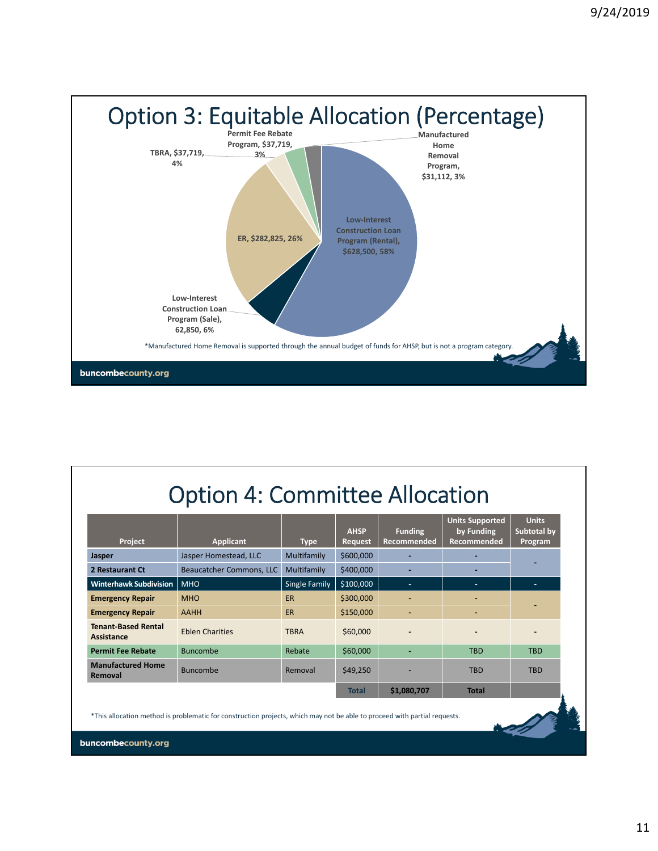

|  | <b>Option 4: Committee Allocation</b> |
|--|---------------------------------------|
|--|---------------------------------------|

| Project                                         | <b>Applicant</b>                                                                                                          | <b>Type</b>          | <b>AHSP</b><br>Request | <b>Funding</b><br>Recommended | <b>Units Supported</b><br>by Funding<br>Recommended | <b>Units</b><br>Subtotal by<br>Program |
|-------------------------------------------------|---------------------------------------------------------------------------------------------------------------------------|----------------------|------------------------|-------------------------------|-----------------------------------------------------|----------------------------------------|
| Jasper                                          | Jasper Homestead, LLC                                                                                                     | Multifamily          | \$600,000              |                               |                                                     |                                        |
| 2 Restaurant Ct                                 | Beaucatcher Commons, LLC                                                                                                  | Multifamily          | \$400,000              |                               |                                                     |                                        |
| <b>Winterhawk Subdivision</b>                   | <b>MHO</b>                                                                                                                | <b>Single Family</b> | \$100,000              | $\alpha$                      | $\sim$                                              | $\sim$                                 |
| <b>Emergency Repair</b>                         | <b>MHO</b>                                                                                                                | <b>ER</b>            | \$300,000              | ٠                             |                                                     |                                        |
| <b>Emergency Repair</b>                         | AAHH                                                                                                                      | ER.                  | \$150,000              |                               |                                                     |                                        |
| <b>Tenant-Based Rental</b><br><b>Assistance</b> | <b>Eblen Charities</b>                                                                                                    | <b>TBRA</b>          | \$60,000               |                               |                                                     |                                        |
| <b>Permit Fee Rebate</b>                        | <b>Buncombe</b>                                                                                                           | Rebate               | \$60,000               |                               | <b>TBD</b>                                          | <b>TBD</b>                             |
| <b>Manufactured Home</b><br>Removal             | <b>Buncombe</b>                                                                                                           | Removal              | \$49,250               |                               | <b>TBD</b>                                          | <b>TBD</b>                             |
|                                                 |                                                                                                                           |                      | <b>Total</b>           | \$1,080,707                   | <b>Total</b>                                        |                                        |
|                                                 | *This allocation method is problematic for construction projects, which may not be able to proceed with partial requests. |                      |                        |                               |                                                     |                                        |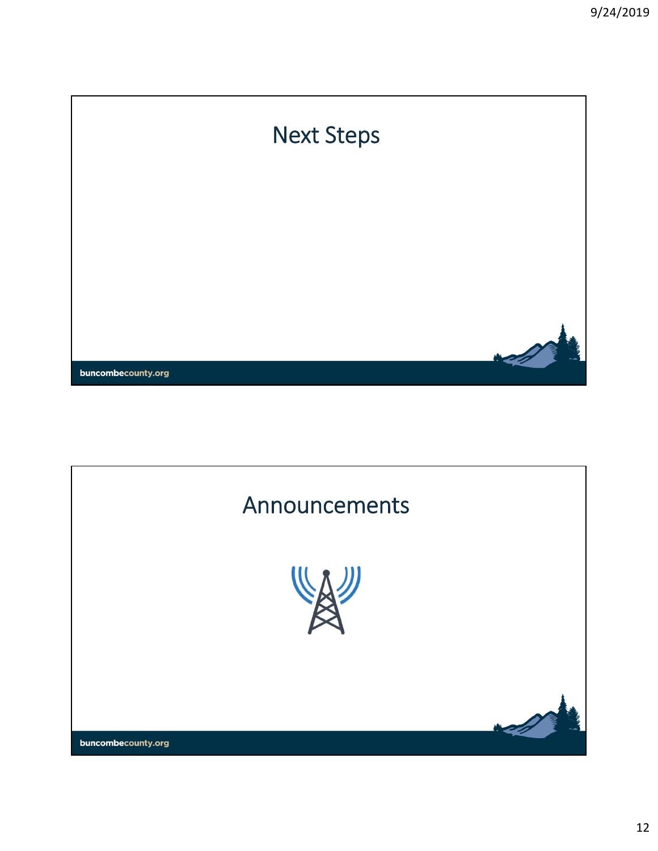